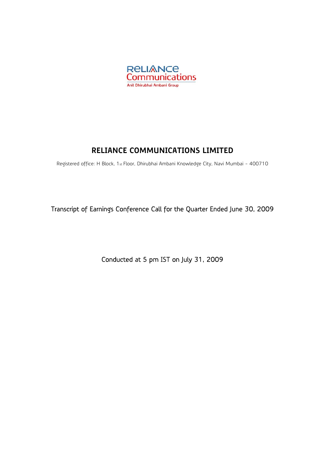

# **RELIANCE COMMUNICATIONS LIMITED**

Registered office: H Block, 1st Floor, Dhirubhai Ambani Knowledge City, Navi Mumbai - 400710

Transcript of Earnings Conference Call for the Quarter Ended June 30, 2009

Conducted at 5 pm IST on July 31, 2009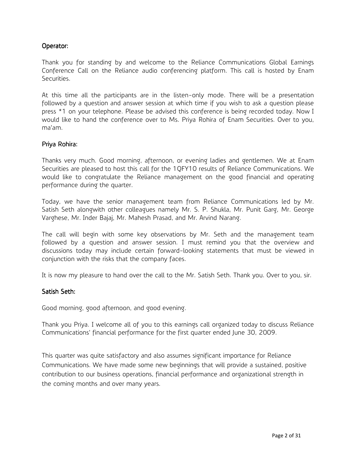# Operator:

Thank you for standing by and welcome to the Reliance Communications Global Earnings Conference Call on the Reliance audio conferencing platform. This call is hosted by Enam Securities.

At this time all the participants are in the listen-only mode. There will be a presentation followed by a question and answer session at which time if you wish to ask a question please press \*1 on your telephone. Please be advised this conference is being recorded today. Now I would like to hand the conference over to Ms. Priya Rohira of Enam Securities. Over to you, ma'am.

### Priya Rohira:

Thanks very much. Good morning, afternoon, or evening ladies and gentlemen. We at Enam Securities are pleased to host this call for the 1QFY10 results of Reliance Communications. We would like to congratulate the Reliance management on the good financial and operating performance during the quarter.

Today, we have the senior management team from Reliance Communications led by Mr. Satish Seth alongwith other colleagues namely Mr. S. P. Shukla, Mr. Punit Garg, Mr. George Varghese, Mr. Inder Bajaj, Mr. Mahesh Prasad, and Mr. Arvind Narang.

The call will begin with some key observations by Mr. Seth and the management team followed by a question and answer session. I must remind you that the overview and discussions today may include certain forward-looking statements that must be viewed in conjunction with the risks that the company faces.

It is now my pleasure to hand over the call to the Mr. Satish Seth. Thank you. Over to you, sir.

# Satish Seth:

Good morning, good afternoon, and good evening.

Thank you Priya. I welcome all of you to this earnings call organized today to discuss Reliance Communications' financial performance for the first quarter ended June 30, 2009.

This quarter was quite satisfactory and also assumes significant importance for Reliance Communications. We have made some new beginnings that will provide a sustained, positive contribution to our business operations, financial performance and organizational strength in the coming months and over many years.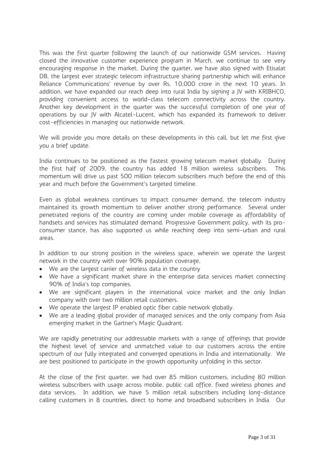This was the first quarter following the launch of our nationwide GSM services. Having closed the innovative customer experience program in March, we continue to see very encouraging response in the market. During the quarter, we have also signed with Etisalat DB, the largest ever strategic telecom infrastructure sharing partnership which will enhance Reliance Communications' revenue by over Rs. 10,000 crore in the next 10 years. In addition, we have expanded our reach deep into rural India by signing a JV with KRIBHCO, providing convenient access to world-class telecom connectivity across the country. Another key development in the quarter was the successful completion of one year of operations by our JV with Alcatel-Lucent, which has expanded its framework to deliver cost-efficiencies in managing our nationwide network.

We will provide you more details on these developments in this call, but let me first give you a brief update.

India continues to be positioned as the fastest growing telecom market globally. During the first half of 2009, the country has added 18 million wireless subscribers. This momentum will drive us past 500 million telecom subscribers much before the end of this year and much before the Government's targeted timeline.

Even as global weakness continues to impact consumer demand, the telecom industry maintained its growth momentum to deliver another strong performance. Several under penetrated regions of the country are coming under mobile coverage as affordability of handsets and services has stimulated demand. Progressive Government policy, with its proconsumer stance, has also supported us while reaching deep into semi-urban and rural areas.

In addition to our strong position in the wireless space, wherein we operate the largest network in the country with over 90% population coverage,

- We are the largest carrier of wireless data in the country
- We have a significant market share in the enterprise data services market connecting 90% of India's top companies.
- We are significant players in the international voice market and the only Indian company with over two million retail customers.
- We operate the largest IP enabled optic fiber cable network globally.
- We are a leading global provider of managed services and the only company from Asia emerging market in the Gartner's Magic Quadrant.

We are rapidly penetrating our addressable markets with a range of offerings that provide the highest level of service and unmatched value to our customers across the entire spectrum of our fully integrated and converged operations in India and internationally. We are best positioned to participate in the growth opportunity unfolding in this sector.

At the close of the first quarter, we had over 85 million customers, including 80 million wireless subscribers with usage across mobile, public call office, fixed wireless phones and data services. In addition, we have 5 million retail subscribers including long-distance calling customers in 8 countries, direct to home and broadband subscribers in India. Our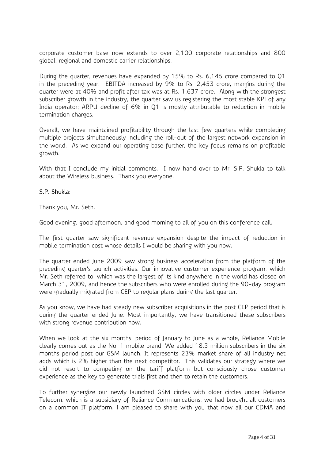corporate customer base now extends to over 2,100 corporate relationships and 800 global, regional and domestic carrier relationships.

During the quarter, revenues have expanded by 15% to Rs. 6,145 crore compared to Q1 in the preceding year. EBITDA increased by 9% to Rs. 2,453 crore, margins during the quarter were at 40% and profit after tax was at Rs. 1,637 crore. Along with the strongest subscriber growth in the industry, the quarter saw us registering the most stable KPI of any India operator; ARPU decline of 6% in Q1 is mostly attributable to reduction in mobile termination charges.

Overall, we have maintained profitability through the last few quarters while completing multiple projects simultaneously including the roll-out of the largest network expansion in the world. As we expand our operating base further, the key focus remains on profitable growth.

With that I conclude my initial comments. I now hand over to Mr. S.P. Shukla to talk about the Wireless business. Thank you everyone.

#### S.P. Shukla:

Thank you, Mr. Seth.

Good evening, good afternoon, and good morning to all of you on this conference call.

The first quarter saw significant revenue expansion despite the impact of reduction in mobile termination cost whose details I would be sharing with you now.

The quarter ended June 2009 saw strong business acceleration from the platform of the preceding quarter's launch activities. Our innovative customer experience program, which Mr. Seth referred to, which was the largest of its kind anywhere in the world has closed on March 31, 2009, and hence the subscribers who were enrolled during the 90-day program were gradually migrated from CEP to regular plans during the last quarter.

As you know, we have had steady new subscriber acquisitions in the post CEP period that is during the quarter ended June. Most importantly, we have transitioned these subscribers with strong revenue contribution now.

When we look at the six months' period of January to June as a whole, Reliance Mobile clearly comes out as the No. 1 mobile brand. We added 18.3 million subscribers in the six months period post our GSM launch. It represents 23% market share of all industry net adds which is 2% higher than the next competitor. This validates our strategy where we did not resort to competing on the tariff platform but consciously chose customer experience as the key to generate trials first and then to retain the customers.

To further synergize our newly launched GSM circles with older circles under Reliance Telecom, which is a subsidiary of Reliance Communications, we had brought all customers on a common IT platform. I am pleased to share with you that now all our CDMA and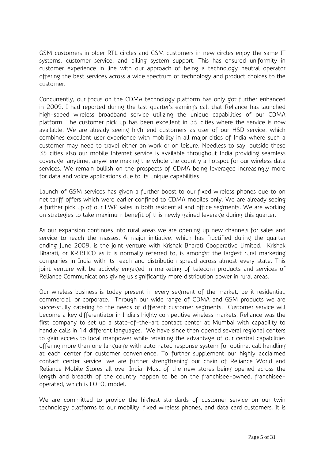GSM customers in older RTL circles and GSM customers in new circles enjoy the same IT systems, customer service, and billing system support. This has ensured uniformity in customer experience in line with our approach of being a technology neutral operator offering the best services across a wide spectrum of technology and product choices to the customer.

Concurrently, our focus on the CDMA technology platform has only got further enhanced in 2009. I had reported during the last quarter's earnings call that Reliance has launched high-speed wireless broadband service utilizing the unique capabilities of our CDMA platform. The customer pick up has been excellent in 35 cities where the service is now available. We are already seeing high-end customers as user of our HSD service, which combines excellent user experience with mobility in all major cities of India where such a customer may need to travel either on work or on leisure. Needless to say, outside these 35 cities also our mobile Internet service is available throughout India providing seamless coverage, anytime, anywhere making the whole the country a hotspot for our wireless data services. We remain bullish on the prospects of CDMA being leveraged increasingly more for data and voice applications due to its unique capabilities.

Launch of GSM services has given a further boost to our fixed wireless phones due to on net tariff offers which were earlier confined to CDMA mobiles only. We are already seeing a further pick up of our FWP sales in both residential and office segments. We are working on strategies to take maximum benefit of this newly gained leverage during this quarter.

As our expansion continues into rural areas we are opening up new channels for sales and service to reach the masses. A major initiative, which has fructified during the quarter ending June 2009, is the joint venture with Krishak Bharati Cooperative Limited. Krishak Bharati, or KRIBHCO as it is normally referred to, is amongst the largest rural marketing companies in India with its reach and distribution spread across almost every state. This joint venture will be actively engaged in marketing of telecom products and services of Reliance Communications giving us significantly more distribution power in rural areas.

Our wireless business is today present in every segment of the market, be it residential, commercial, or corporate. Through our wide range of CDMA and GSM products we are successfully catering to the needs of different customer segments. Customer service will become a key differentiator in India's highly competitive wireless markets. Reliance was the first company to set up a state–of-the-art contact center at Mumbai with capability to handle calls in 14 different languages. We have since then opened several regional centers to gain access to local manpower while retaining the advantage of our central capabilities offering more than one language with automated response system for optimal call handling at each center for customer convenience. To further supplement our highly acclaimed contact center service, we are further strengthening our chain of Reliance World and Reliance Mobile Stores all over India. Most of the new stores being opened across the length and breadth of the country happen to be on the franchisee-owned, franchiseeoperated, which is FOFO, model.

We are committed to provide the highest standards of customer service on our twin technology platforms to our mobility, fixed wireless phones, and data card customers. It is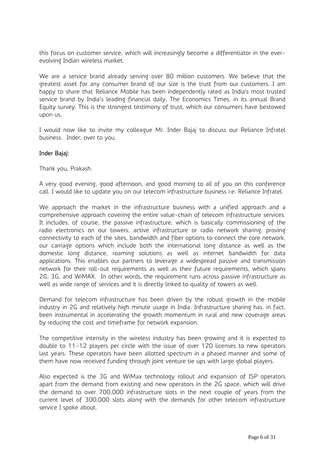this focus on customer service, which will increasingly become a differentiator in the everevolving Indian wireless market.

We are a service brand already serving over 80 million customers. We believe that the greatest asset for any consumer brand of our size is the trust from our customers. I am happy to share that Reliance Mobile has been independently rated as India's most trusted service brand by India's leading financial daily, The Economics Times, in its annual Brand Equity survey. This is the strongest testimony of trust, which our consumers have bestowed upon us.

I would now like to invite my colleague Mr. Inder Bajaj to discuss our Reliance Infratel business. Inder, over to you.

#### Inder Bajaj:

Thank you, Prakash.

A very good evening, good afternoon, and good morning to all of you on this conference call. I would like to update you on our telecom infrastructure business i.e. Reliance Infratel.

We approach the market in the infrastructure business with a unified approach and a comprehensive approach covering the entire value-chain of telecom infrastructure services. It includes, of course, the passive infrastructure, which is basically commissioning of the radio electronics on our towers, active infrastructure or radio network sharing, proving connectivity to each of the sites, bandwidth and fiber options to connect the core network, our carriage options which include both the international long distance as well as the domestic long distance, roaming solutions as well as internet bandwidth for data applications. This enables our partners to leverage a widespread passive and transmission network for their roll-out requirements as well as their future requirements, which spans 2G, 3G, and WiMAX. In other words, the requirement runs across passive infrastructure as well as wide range of services and it is directly linked to quality of towers as well.

Demand for telecom infrastructure has been driven by the robust growth in the mobile industry in 2G and relatively high minute usage in India. Infrastructure sharing has, in fact, been instrumental in accelerating the growth momentum in rural and new coverage areas by reducing the cost and timeframe for network expansion.

The competitive intensity in the wireless industry has been growing and it is expected to double to 11-12 players per circle with the issue of over 120 licenses to new operators last years. These operators have been allotted spectrum in a phased manner and some of them have now received funding through joint venture tie ups with large global players.

Also expected is the 3G and WiMax technology rollout and expansion of ISP operators apart from the demand from existing and new operators in the 2G space, which will drive the demand to over 700,000 infrastructure slots in the next couple of years from the current level of 300,000 slots along with the demands for other telecom infrastructure service I spoke about.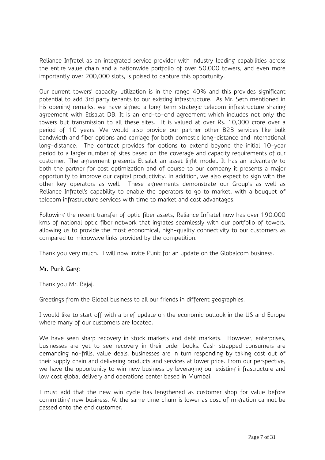Reliance Infratel as an integrated service provider with industry leading capabilities across the entire value chain and a nationwide portfolio of over 50,000 towers, and even more importantly over 200,000 slots, is poised to capture this opportunity.

Our current towers' capacity utilization is in the range 40% and this provides significant potential to add 3rd party tenants to our existing infrastructure. As Mr. Seth mentioned in his opening remarks, we have signed a long-term strategic telecom infrastructure sharing agreement with Etisalat DB. It is an end-to-end agreement which includes not only the towers but transmission to all these sites. It is valued at over Rs. 10,000 crore over a period of 10 years. We would also provide our partner other B2B services like bulk bandwidth and fiber options and carriage for both domestic long-distance and international long-distance. The contract provides for options to extend beyond the initial 10-year period to a larger number of sites based on the coverage and capacity requirements of our customer. The agreement presents Etisalat an asset light model. It has an advantage to both the partner for cost optimization and of course to our company it presents a major opportunity to improve our capital productivity. In addition, we also expect to sign with the other key operators as well. These agreements demonstrate our Group's as well as Reliance Infratel's capability to enable the operators to go to market, with a bouquet of telecom infrastructure services with time to market and cost advantages.

Following the recent transfer of optic fiber assets, Reliance Infratel now has over 190,000 kms of national optic fiber network that ingrates seamlessly with our portfolio of towers, allowing us to provide the most economical, high-quality connectivity to our customers as compared to microwave links provided by the competition.

Thank you very much. I will now invite Punit for an update on the Globalcom business.

# Mr. Punit Garg:

Thank you Mr. Bajaj.

Greetings from the Global business to all our friends in different geographies.

I would like to start off with a brief update on the economic outlook in the US and Europe where many of our customers are located.

We have seen sharp recovery in stock markets and debt markets. However, enterprises, businesses are yet to see recovery in their order books. Cash strapped consumers are demanding no-frills, value deals, businesses are in turn responding by taking cost out of their supply chain and delivering products and services at lower price. From our perspective, we have the opportunity to win new business by leveraging our existing infrastructure and low cost global delivery and operations center based in Mumbai.

I must add that the new win cycle has lengthened as customer shop for value before committing new business. At the same time churn is lower as cost of migration cannot be passed onto the end customer.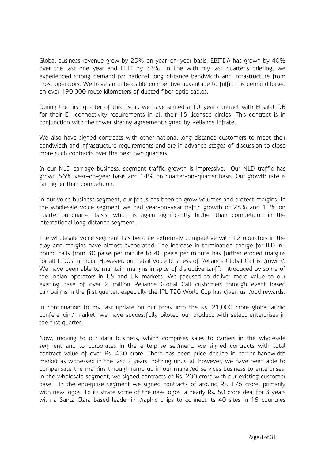Global business revenue grew by 23% on year-on-year basis, EBITDA has grown by 40% over the last one year and EBIT by 36%. In line with my last quarter's briefing, we experienced strong demand for national long distance bandwidth and infrastructure from most operators. We have an unbeatable competitive advantage to fulfill this demand based on over 190,000 route kilometers of ducted fiber optic cables.

During the first quarter of this fiscal, we have signed a 10-year contract with Etisalat DB for their E1 connectivity requirements in all their 15 licensed circles. This contract is in conjunction with the tower sharing agreement signed by Reliance Infratel.

We also have signed contracts with other national long distance customers to meet their bandwidth and infrastructure requirements and are in advance stages of discussion to close more such contracts over the next two quarters.

In our NLD carriage business, segment traffic growth is impressive. Our NLD traffic has grown 56% year-on-year basis and 14% on quarter-on-quarter basis. Our growth rate is far higher than competition.

In our voice business segment, our focus has been to grow volumes and protect margins. In the wholesale voice segment we had year-on-year traffic growth of 28% and 11% on quarter-on-quarter basis, which is again significantly higher than competition in the international long distance segment.

The wholesale voice segment has become extremely competitive with 12 operators in the play and margins have almost evaporated. The increase in termination charge for ILD inbound calls from 30 paise per minute to 40 paise per minute has further eroded margins for all ILDOs in India. However, our retail voice business of Reliance Global Call is growing. We have been able to maintain margins in spite of disruptive tariffs introduced by some of the Indian operators in US and UK markets. We focused to deliver more value to our existing base of over 2 million Reliance Global Call customers through event based campaigns in the first quarter, especially the IPL T20 World Cup has given us good rewards.

In continuation to my last update on our foray into the Rs. 21,000 crore global audio conferencing market, we have successfully piloted our product with select enterprises in the first quarter.

Now, moving to our data business, which comprises sales to carriers in the wholesale segment and to corporates in the enterprise segment, we signed contracts with total contract value of over Rs. 450 crore. There has been price decline in carrier bandwidth market as witnessed in the last 2 years, nothing unusual; however, we have been able to compensate the margins through ramp up in our managed services business to enterprises. In the wholesale segment, we signed contracts of Rs. 200 crore with our existing customer base. In the enterprise segment we signed contracts of around Rs. 175 crore, primarily with new logos. To illustrate some of the new logos, a nearly Rs. 50 crore deal for 3 years with a Santa Clara based leader in graphic chips to connect its 40 sites in 15 countries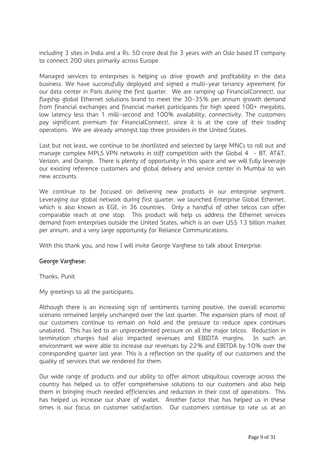including 3 sites in India and a Rs. 50 crore deal for 3 years with an Oslo based IT company to connect 200 sites primarily across Europe.

Managed services to enterprises is helping us drive growth and profitability in the data business. We have successfully deployed and signed a multi-year tenancy agreement for our data center in Paris during the first quarter. We are ramping up FinancialConnect!, our flagship global Ethernet solutions brand to meet the 30-35% per annum growth demand from financial exchanges and financial market participants for high speed 100+ megabits, low latency less than 1 milli-second and 100% availability, connectivity. The customers pay significant premium for FinancialConnect!, since it is at the core of their trading operations. We are already amongst top three providers in the United States.

Last but not least, we continue to be shortlisted and selected by large MNCs to roll out and manage complex MPLS VPN networks in stiff competition with the Global 4 - BT, AT&T, Verizon, and Orange. There is plenty of opportunity in this space and we will fully leverage our existing reference customers and global delivery and service center in Mumbai to win new accounts.

We continue to be focused on delivering new products in our enterprise segment. Leveraging our global network during first quarter, we launched Enterprise Global Ethernet, which is also known as EGE, in 36 countries. Only a handful of other telcos can offer comparable reach at one stop. This product will help us address the Ethernet services demand from enterprises outside the United States, which is an over US\$ 13 billion market per annum, and a very large opportunity for Reliance Communications.

With this thank you, and now I will invite George Varghese to talk about Enterprise.

# George Varghese:

Thanks, Punit

My greetings to all the participants.

Although there is an increasing sign of sentiments turning positive, the overall economic scenario remained largely unchanged over the last quarter. The expansion plans of most of our customers continue to remain on hold and the pressure to reduce opex continues unabated. This has led to an unprecedented pressure on all the major telcos. Reduction in termination charges had also impacted revenues and EBIDTA margins. In such an environment we were able to increase our revenues by 22% and EBITDA by 10% over the corresponding quarter last year. This is a reflection on the quality of our customers and the quality of services that we rendered for them.

Our wide range of products and our ability to offer almost ubiquitous coverage across the country has helped us to offer comprehensive solutions to our customers and also help them in bringing much needed efficiencies and reduction in their cost of operations. This has helped us increase our share of wallet. Another factor that has helped us in these times is our focus on customer satisfaction. Our customers continue to rate us at an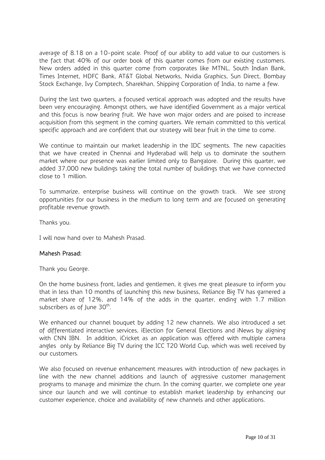average of 8.18 on a 10-point scale. Proof of our ability to add value to our customers is the fact that 40% of our order book of this quarter comes from our existing customers. New orders added in this quarter come from corporates like MTNL, South Indian Bank, Times Internet, HDFC Bank, AT&T Global Networks, Nvidia Graphics, Sun Direct, Bombay Stock Exchange, Ivy Comptech, Sharekhan, Shipping Corporation of India, to name a few.

During the last two quarters, a focused vertical approach was adopted and the results have been very encouraging. Amongst others, we have identified Government as a major vertical and this focus is now bearing fruit. We have won major orders and are poised to increase acquisition from this segment in the coming quarters. We remain committed to this vertical specific approach and are confident that our strategy will bear fruit in the time to come.

We continue to maintain our market leadership in the IDC segments. The new capacities that we have created in Chennai and Hyderabad will help us to dominate the southern market where our presence was earlier limited only to Bangalore. During this quarter, we added 37,000 new buildings taking the total number of buildings that we have connected close to 1 million.

To summarize, enterprise business will continue on the growth track. We see strong opportunities for our business in the medium to long term and are focused on generating profitable revenue growth.

Thanks you.

I will now hand over to Mahesh Prasad.

# Mahesh Prasad:

Thank you George.

On the home business front, ladies and gentlemen, it gives me great pleasure to inform you that in less than 10 months of launching this new business, Reliance Big TV has garnered a market share of 12%, and 14% of the adds in the quarter, ending with 1.7 million subscribers as of June  $30<sup>th</sup>$ .

We enhanced our channel bouquet by adding 12 new channels. We also introduced a set of differentiated interactive services, iElection for General Elections and iNews by aligning with CNN IBN. In addition, iCricket as an application was offered with multiple camera angles only by Reliance Big TV during the ICC T20 World Cup, which was well received by our customers.

We also focused on revenue enhancement measures with introduction of new packages in line with the new channel additions and launch of aggressive customer management programs to manage and minimize the churn. In the coming quarter, we complete one year since our launch and we will continue to establish market leadership by enhancing our customer experience, choice and availability of new channels and other applications.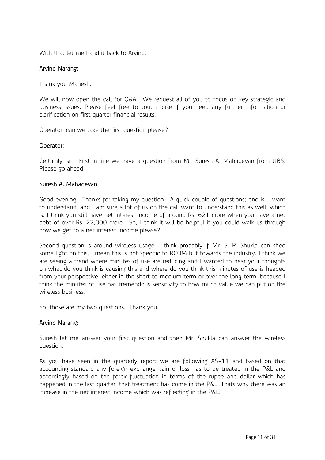With that let me hand it back to Arvind.

### Arvind Narang:

Thank you Mahesh.

We will now open the call for Q&A. We request all of you to focus on key strategic and business issues. Please feel free to touch base if you need any further information or clarification on first quarter financial results.

Operator, can we take the first question please?

#### Operator:

Certainly, sir. First in line we have a question from Mr. Suresh A. Mahadevan from UBS. Please go ahead.

#### Suresh A. Mahadevan:

Good evening. Thanks for taking my question. A quick couple of questions; one is, I want to understand, and I am sure a lot of us on the call want to understand this as well, which is, I think you still have net interest income of around Rs. 621 crore when you have a net debt of over Rs. 22,000 crore. So, I think it will be helpful if you could walk us through how we get to a net interest income please?

Second question is around wireless usage. I think probably if Mr. S. P. Shukla can shed some light on this, I mean this is not specific to RCOM but towards the industry. I think we are seeing a trend where minutes of use are reducing and I wanted to hear your thoughts on what do you think is causing this and where do you think this minutes of use is headed from your perspective, either in the short to medium term or over the long term, because I think the minutes of use has tremendous sensitivity to how much value we can put on the wireless business.

So, those are my two questions. Thank you.

#### Arvind Narang:

Suresh let me answer your first question and then Mr. Shukla can answer the wireless question.

As you have seen in the quarterly report we are following AS-11 and based on that accounting standard any foreign exchange gain or loss has to be treated in the P&L and accordingly based on the forex fluctuation in terms of the rupee and dollar which has happened in the last quarter, that treatment has come in the P&L. Thats why there was an increase in the net interest income which was reflecting in the P&L.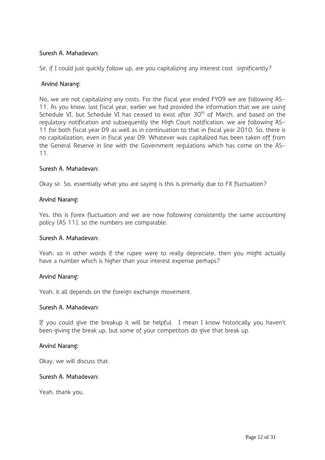### Suresh A. Mahadevan:

Sir, if I could just quickly follow up, are you capitalizing any interest cost significantly?

#### Arvind Narang:

No, we are not capitalizing any costs. For the fiscal year ended FY09 we are following AS-11. As you know, last fiscal year, earlier we had provided the information that we are using Schedule VI, but Schedule VI has ceased to exist after 30<sup>th</sup> of March, and based on the regulatory notification and subsequently the High Court notification, we are following AS-11 for both fiscal year 09 as well as in continuation to that in fiscal year 2010. So, there is no capitalization, even in fiscal year 09. Whatever was capitalized has been taken off from the General Reserve in line with the Government regulations which has come on the AS-11.

#### Suresh A. Mahadevan:

Okay sir. So, essentially what you are saying is this is primarily due to FX fluctuation?

#### Arvind Narang:

Yes, this is forex fluctuation and we are now following consistently the same accounting policy (AS 11), so the numbers are comparable.

#### Suresh A. Mahadevan:

Yeah, so in other words if the rupee were to really depreciate, then you might actually have a number which is higher than your interest expense perhaps?

#### Arvind Narang:

Yeah, it all depends on the foreign exchange movement.

#### Suresh A. Mahadevan:

If you could give the breakup it will be helpful. I mean I know historically you haven't been giving the break up, but some of your competitors do give that break up.

#### Arvind Narang:

Okay, we will discuss that.

#### Suresh A. Mahadevan:

Yeah, thank you.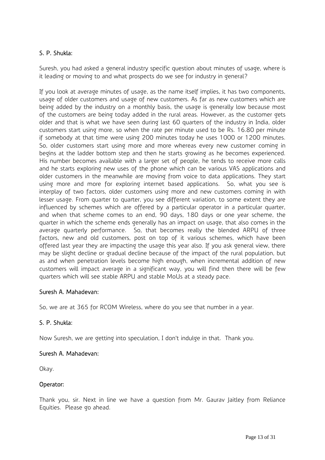# S. P. Shukla:

Suresh, you had asked a general industry specific question about minutes of usage, where is it leading or moving to and what prospects do we see for industry in general?

If you look at average minutes of usage, as the name itself implies, it has two components, usage of older customers and usage of new customers. As far as new customers which are being added by the industry on a monthly basis, the usage is generally low because most of the customers are being today added in the rural areas. However, as the customer gets older and that is what we have seen during last 60 quarters of the industry in India, older customers start using more, so when the rate per minute used to be Rs. 16.80 per minute if somebody at that time were using 200 minutes today he uses 1000 or 1200 minutes. So, older customers start using more and more whereas every new customer coming in begins at the ladder bottom step and then he starts growing as he becomes experienced. His number becomes available with a larger set of people, he tends to receive more calls and he starts exploring new uses of the phone which can be various VAS applications and older customers in the meanwhile are moving from voice to data applications. They start using more and more for exploring internet based applications. So, what you see is interplay of two factors, older customers using more and new customers coming in with lesser usage. From quarter to quarter, you see different variation, to some extent they are influenced by schemes which are offered by a particular operator in a particular quarter, and when that scheme comes to an end, 90 days, 180 days or one year scheme, the quarter in which the scheme ends generally has an impact on usage, that also comes in the average quarterly performance. So, that becomes really the blended ARPU of three factors, new and old customers, post on top of it various schemes, which have been offered last year they are impacting the usage this year also. If you ask general view, there may be slight decline or gradual decline because of the impact of the rural population, but as and when penetration levels become high enough, when incremental addition of new customers will impact average in a significant way, you will find then there will be few quarters which will see stable ARPU and stable MoUs at a steady pace.

# Suresh A. Mahadevan:

So, we are at 365 for RCOM Wireless, where do you see that number in a year.

# S. P. Shukla:

Now Suresh, we are getting into speculation, I don't indulge in that. Thank you.

# Suresh A. Mahadevan:

Okay.

# Operator:

Thank you, sir. Next in line we have a question from Mr. Gaurav Jaitley from Reliance Equities. Please go ahead.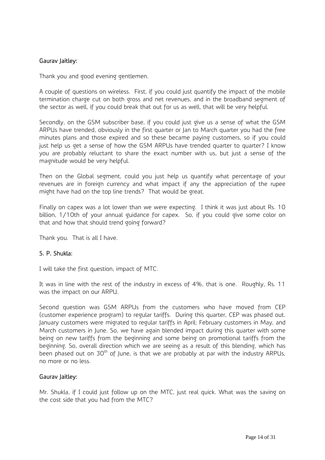### Gaurav Jaitley:

Thank you and good evening gentlemen.

A couple of questions on wireless. First, if you could just quantify the impact of the mobile termination charge cut on both gross and net revenues, and in the broadband segment of the sector as well, if you could break that out for us as well, that will be very helpful.

Secondly, on the GSM subscriber base, if you could just give us a sense of what the GSM ARPUs have trended, obviously in the first quarter or Jan to March quarter you had the free minutes plans and those expired and so these became paying customers, so if you could just help us get a sense of how the GSM ARPUs have trended quarter to quarter? I know you are probably reluctant to share the exact number with us, but just a sense of the magnitude would be very helpful.

Then on the Global segment, could you just help us quantify what percentage of your revenues are in foreign currency and what impact if any the appreciation of the rupee might have had on the top line trends? That would be great.

Finally on capex was a lot lower than we were expecting. I think it was just about Rs. 10 billion, 1/10th of your annual guidance for capex. So, if you could give some color on that and how that should trend going forward?

Thank you. That is all I have.

# S. P. Shukla:

I will take the first question, impact of MTC.

It was in line with the rest of the industry in excess of 4%, that is one. Roughly, Rs. 11 was the impact on our ARPU.

Second question was GSM ARPUs from the customers who have moved from CEP (customer experience program) to regular tariffs. During this quarter, CEP was phased out. January customers were migrated to regular tariffs in April; February customers in May, and March customers in June. So, we have again blended impact during this quarter with some being on new tariffs from the beginning and some being on promotional tariffs from the beginning. So, overall direction which we are seeing as a result of this blending, which has been phased out on  $30<sup>th</sup>$  of June, is that we are probably at par with the industry ARPUs, no more or no less.

#### Gaurav Jaitley:

Mr. Shukla, if I could just follow up on the MTC, just real quick. What was the saving on the cost side that you had from the MTC?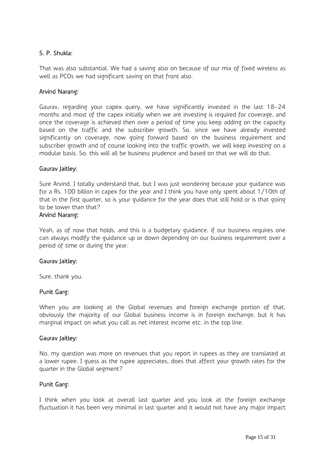# S. P. Shukla:

That was also substantial. We had a saving also on because of our mix of fixed wireless as well as PCOs we had significant saving on that front also.

#### Arvind Narang:

Gaurav, regarding your capex query, we have significantly invested in the last 18-24 months and most of the capex initially when we are investing is required for coverage, and once the coverage is achieved then over a period of time you keep adding on the capacity based on the traffic and the subscriber growth. So, since we have already invested significantly on coverage, now going forward based on the business requirement and subscriber growth and of course looking into the traffic growth, we will keep investing on a modular basis. So, this will all be business prudence and based on that we will do that.

#### Gaurav Jaitley:

Sure Arvind, I totally understand that, but I was just wondering because your guidance was for a Rs. 100 billion in capex for the year and I think you have only spent about 1/10th of that in the first quarter, so is your guidance for the year does that still hold or is that going to be lower than that?

#### Arvind Narang:

Yeah, as of now that holds, and this is a budgetary guidance, if our business requires one can always modify the guidance up or down depending on our business requirement over a period of time or during the year.

#### Gaurav Jaitley:

Sure, thank you.

#### Punit Garg:

When you are looking at the Global revenues and foreign exchange portion of that, obviously the majority of our Global business income is in foreign exchange, but it has marginal impact on what you call as net interest income etc. in the top line.

#### Gaurav Jaitley:

No, my question was more on revenues that you report in rupees as they are translated at a lower rupee, I guess as the rupee appreciates, does that affect your growth rates for the quarter in the Global segment?

#### Punit Garg:

I think when you look at overall last quarter and you look at the foreign exchange fluctuation it has been very minimal in last quarter and it would not have any major impact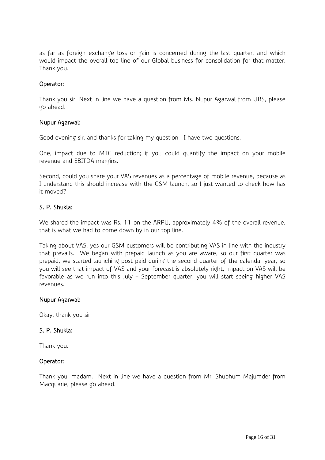as far as foreign exchange loss or gain is concerned during the last quarter, and which would impact the overall top line of our Global business for consolidation for that matter. Thank you.

#### Operator:

Thank you sir. Next in line we have a question from Ms. Nupur Agarwal from UBS, please go ahead.

#### Nupur Agarwal:

Good evening sir, and thanks for taking my question. I have two questions.

One, impact due to MTC reduction; if you could quantify the impact on your mobile revenue and EBITDA margins.

Second, could you share your VAS revenues as a percentage of mobile revenue, because as I understand this should increase with the GSM launch, so I just wanted to check how has it moved?

### S. P. Shukla:

We shared the impact was Rs. 11 on the ARPU, approximately 4% of the overall revenue, that is what we had to come down by in our top line.

Taking about VAS, yes our GSM customers will be contributing VAS in line with the industry that prevails. We began with prepaid launch as you are aware, so our first quarter was prepaid, we started launching post paid during the second quarter of the calendar year, so you will see that impact of VAS and your forecast is absolutely right, impact on VAS will be favorable as we run into this July – September quarter, you will start seeing higher VAS revenues.

#### Nupur Agarwal:

Okay, thank you sir.

#### S. P. Shukla:

Thank you.

#### Operator:

Thank you, madam. Next in line we have a question from Mr. Shubhum Majumder from Macquarie, please go ahead.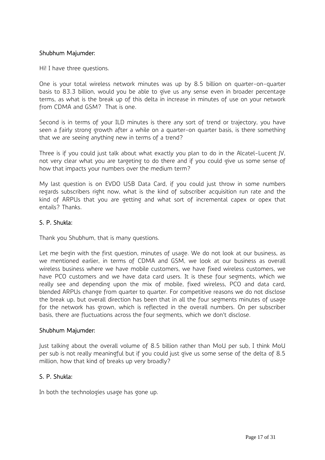### Shubhum Majumder:

Hi! I have three questions.

One is your total wireless network minutes was up by 8.5 billion on quarter-on-quarter basis to 83.3 billion, would you be able to give us any sense even in broader percentage terms, as what is the break up of this delta in increase in minutes of use on your network from CDMA and GSM? That is one.

Second is in terms of your ILD minutes is there any sort of trend or trajectory, you have seen a fairly strong growth after a while on a quarter-on quarter basis, is there something that we are seeing anything new in terms of a trend?

Three is if you could just talk about what exactly you plan to do in the Alcatel-Lucent JV, not very clear what you are targeting to do there and if you could give us some sense of how that impacts your numbers over the medium term?

My last question is on EVDO USB Data Card, if you could just throw in some numbers regards subscribers right now, what is the kind of subscriber acquisition run rate and the kind of ARPUs that you are getting and what sort of incremental capex or opex that entails? Thanks.

### S. P. Shukla:

Thank you Shubhum, that is many questions.

Let me begin with the first question, minutes of usage. We do not look at our business, as we mentioned earlier, in terms of CDMA and GSM, we look at our business as overall wireless business where we have mobile customers, we have fixed wireless customers, we have PCO customers and we have data card users. It is these four segments, which we really see and depending upon the mix of mobile, fixed wireless, PCO and data card, blended ARPUs change from quarter to quarter. For competitive reasons we do not disclose the break up, but overall direction has been that in all the four segments minutes of usage for the network has grown, which is reflected in the overall numbers. On per subscriber basis, there are fluctuations across the four segments, which we don't disclose.

#### Shubhum Majumder:

Just talking about the overall volume of 8.5 billion rather than MoU per sub, I think MoU per sub is not really meaningful but if you could just give us some sense of the delta of 8.5 million, how that kind of breaks up very broadly?

#### S. P. Shukla:

In both the technologies usage has gone up.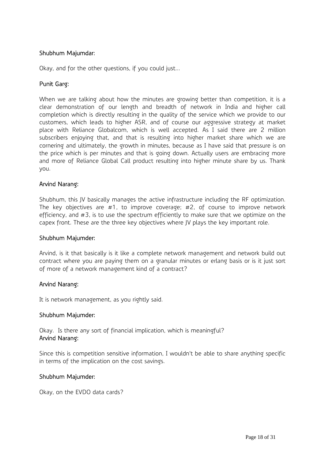### Shubhum Majumdar:

Okay, and for the other questions, if you could just...

### Punit Garg:

When we are talking about how the minutes are growing better than competition, it is a clear demonstration of our length and breadth of network in India and higher call completion which is directly resulting in the quality of the service which we provide to our customers, which leads to higher ASR, and of course our aggressive strategy at market place with Reliance Globalcom, which is well accepted. As I said there are 2 million subscribers enjoying that, and that is resulting into higher market share which we are cornering and ultimately, the growth in minutes, because as I have said that pressure is on the price which is per minutes and that is going down. Actually users are embracing more and more of Reliance Global Call product resulting into higher minute share by us. Thank you.

#### Arvind Narang:

Shubhum, this JV basically manages the active infrastructure including the RF optimization. The key objectives are #1, to improve coverage; #2, of course to improve network efficiency, and #3, is to use the spectrum efficiently to make sure that we optimize on the capex front. These are the three key objectives where JV plays the key important role.

#### Shubhum Majumder:

Arvind, is it that basically is it like a complete network management and network build out contract where you are paying them on a granular minutes or erlang basis or is it just sort of more of a network management kind of a contract?

#### Arvind Narang:

It is network management, as you rightly said.

#### Shubhum Majumder:

Okay. Is there any sort of financial implication, which is meaningful? Arvind Narang:

Since this is competition sensitive information, I wouldn't be able to share anything specific in terms of the implication on the cost savings.

#### Shubhum Majumder:

Okay, on the EVDO data cards?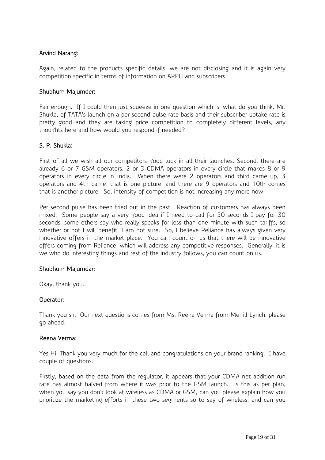# Arvind Narang:

Again, related to the products specific details, we are not disclosing and it is again very competition specific in terms of information on ARPU and subscribers.

#### Shubhum Majumder:

Fair enough. If I could then just squeeze in one question which is, what do you think, Mr. Shukla, of TATA's launch on a per second pulse rate basis and their subscriber uptake rate is pretty good and they are taking price competition to completely different levels, any thoughts here and how would you respond if needed?

### S. P. Shukla:

First of all we wish all our competitors good luck in all their launches. Second, there are already 6 or 7 GSM operators, 2 or 3 CDMA operators in every circle that makes 8 or 9 operators in every circle in India. When there were 2 operators and third came up, 3 operators and 4th came, that is one picture, and there are 9 operators and 10th comes that is another picture. So, intensity of competition is not increasing any more now.

Per second pulse has been tried out in the past. Reaction of customers has always been mixed. Some people say a very good idea if I need to call for 30 seconds I pay for 30 seconds, some others say who really speaks for less than one minute with such tariffs, so whether or not I will benefit, I am not sure. So, I believe Reliance has always given very innovative offers in the market place. You can count on us that there will be innovative offers coming from Reliance, which will address any competitive responses. Generally, it is we who do interesting things and rest of the industry follows, you can count on us.

#### Shubhum Majumdar:

Okay, thank you.

#### Operator:

Thank you sir. Our next questions comes from Ms. Reena Verma from Merrill Lynch, please go ahead.

#### Reena Verma:

Yes Hi! Thank you very much for the call and congratulations on your brand ranking. I have couple of questions.

Firstly, based on the data from the regulator, it appears that your CDMA net addition run rate has almost halved from where it was prior to the GSM launch. Is this as per plan, when you say you don't look at wireless as CDMA or GSM, can you please explain how you prioritize the marketing efforts in these two segments so to say of wireless, and can you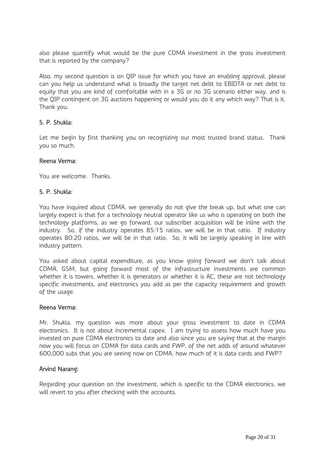also please quantify what would be the pure CDMA investment in the gross investment that is reported by the company?

Also, my second question is on QIP issue for which you have an enabling approval, please can you help us understand what is broadly the target net debt to EBIDTA or net debt to equity that you are kind of comfortable with in a 3G or no 3G scenario either way, and is the QIP contingent on 3G auctions happening or would you do it any which way? That is it. Thank you.

### S. P. Shukla:

Let me begin by first thanking you on recognizing our most trusted brand status. Thank you so much.

#### Reena Verma:

You are welcome. Thanks.

#### S. P. Shukla:

You have inquired about CDMA, we generally do not give the break up, but what one can largely expect is that for a technology neutral operator like us who is operating on both the technology platforms, as we go forward, our subscriber acquisition will be inline with the industry. So, if the industry operates 85:15 ratios, we will be in that ratio. If industry operates 80:20 ratios, we will be in that ratio. So, it will be largely speaking in line with industry pattern.

You asked about capital expenditure, as you know going forward we don't talk about CDMA, GSM, but going forward most of the infrastructure investments are common whether it is towers, whether it is generators or whether it is AC, these are not technology specific investments, and electronics you add as per the capacity requirement and growth of the usage.

#### Reena Verma:

Mr. Shukla, my question was more about your gross investment to date in CDMA electronics. It is not about incremental capex. I am trying to assess how much have you invested on pure CDMA electronics to date and also since you are saying that at the margin now you will focus on CDMA for data cards and FWP, of the net adds of around whatever 600,000 subs that you are seeing now on CDMA, how much of it is data cards and FWP?

#### Arvind Narang:

Regarding your question on the investment, which is specific to the CDMA electronics, we will revert to you after checking with the accounts.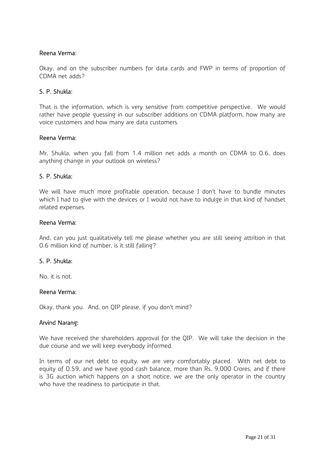### Reena Verma:

Okay, and on the subscriber numbers for data cards and FWP in terms of proportion of CDMA net adds?

### S. P. Shukla:

That is the information, which is very sensitive from competitive perspective. We would rather have people guessing in our subscriber additions on CDMA platform, how many are voice customers and how many are data customers.

#### Reena Verma:

Mr. Shukla, when you fall from 1.4 million net adds a month on CDMA to 0.6, does anything change in your outlook on wireless?

#### S. P. Shukla:

We will have much more profitable operation, because I don't have to bundle minutes which I had to give with the devices or I would not have to indulge in that kind of handset related expenses.

#### Reena Verma:

And, can you just qualitatively tell me please whether you are still seeing attrition in that 0.6 million kind of number, is it still falling?

#### S. P. Shukla:

No, it is not.

#### Reena Verma:

Okay, thank you. And, on QIP please, if you don't mind?

#### Arvind Narang:

We have received the shareholders approval for the QIP. We will take the decision in the due course and we will keep everybody informed.

In terms of our net debt to equity, we are very comfortably placed. With net debt to equity of 0.59, and we have good cash balance, more than Rs. 9,000 Crores, and if there is 3G auction which happens on a short notice, we are the only operator in the country who have the readiness to participate in that.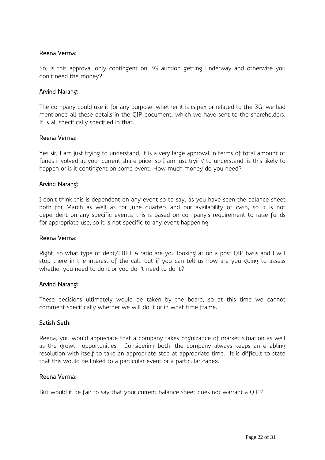### Reena Verma:

So, is this approval only contingent on 3G auction getting underway and otherwise you don't need the money?

### Arvind Narang:

The company could use it for any purpose, whether it is capex or related to the 3G, we had mentioned all these details in the QIP document, which we have sent to the shareholders. It is all specifically specified in that.

#### Reena Verma:

Yes sir, I am just trying to understand, it is a very large approval in terms of total amount of funds involved at your current share price, so I am just trying to understand, is this likely to happen or is it contingent on some event. How much money do you need?

#### Arvind Narang:

I don't think this is dependent on any event so to say, as you have seen the balance sheet both for March as well as for June quarters and our availability of cash, so it is not dependent on any specific events, this is based on company's requirement to raise funds for appropriate use, so it is not specific to any event happening.

#### Reena Verma:

Right, so what type of debt/EBIDTA ratio are you looking at on a post QIP basis and I will stop there in the interest of the call, but if you can tell us how are you going to assess whether you need to do it or you don't need to do it?

#### Arvind Narang:

These decisions ultimately would be taken by the board, so at this time we cannot comment specifically whether we will do it or in what time frame.

#### Satish Seth:

Reena, you would appreciate that a company takes cognizance of market situation as well as the growth opportunities. Considering both, the company always keeps an enabling resolution with itself to take an appropriate step at appropriate time. It is difficult to state that this would be linked to a particular event or a particular capex.

#### Reena Verma:

But would it be fair to say that your current balance sheet does not warrant a QIP?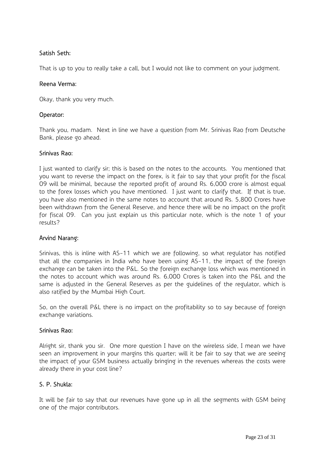# Satish Seth:

That is up to you to really take a call, but I would not like to comment on your judgment.

### Reena Verma:

Okay, thank you very much.

### Operator:

Thank you, madam. Next in line we have a question from Mr. Srinivas Rao from Deutsche Bank, please go ahead.

#### Srinivas Rao:

I just wanted to clarify sir; this is based on the notes to the accounts. You mentioned that you want to reverse the impact on the forex, is it fair to say that your profit for the fiscal 09 will be minimal, because the reported profit of around Rs. 6,000 crore is almost equal to the forex losses which you have mentioned. I just want to clarify that. If that is true, you have also mentioned in the same notes to account that around Rs. 5,800 Crores have been withdrawn from the General Reserve, and hence there will be no impact on the profit for fiscal 09. Can you just explain us this particular note, which is the note 1 of your results?

# Arvind Narang:

Srinivas, this is inline with AS-11 which we are following, so what regulator has notified that all the companies in India who have been using AS-11, the impact of the foreign exchange can be taken into the P&L. So the foreign exchange loss which was mentioned in the notes to account which was around Rs. 6,000 Crores is taken into the P&L and the same is adjusted in the General Reserves as per the guidelines of the regulator, which is also ratified by the Mumbai High Court.

So, on the overall P&L there is no impact on the profitability so to say because of foreign exchange variations.

#### Srinivas Rao:

Alright sir, thank you sir. One more question I have on the wireless side, I mean we have seen an improvement in your margins this quarter; will it be fair to say that we are seeing the impact of your GSM business actually bringing in the revenues whereas the costs were already there in your cost line?

# S. P. Shukla:

It will be fair to say that our revenues have gone up in all the segments with GSM being one of the major contributors.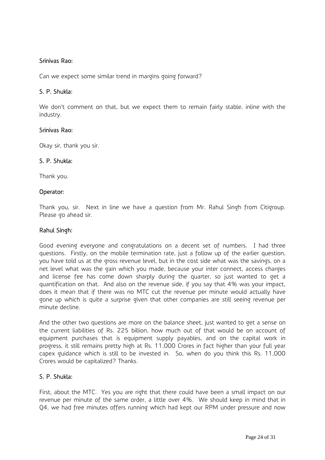### Srinivas Rao:

Can we expect some similar trend in margins going forward?

### S. P. Shukla:

We don't comment on that, but we expect them to remain fairly stable, inline with the industry.

#### Srinivas Rao:

Okay sir, thank you sir.

#### S. P. Shukla:

Thank you.

#### Operator:

Thank you, sir. Next in line we have a question from Mr. Rahul Singh from Citigroup. Please go ahead sir.

#### Rahul Singh:

Good evening everyone and congratulations on a decent set of numbers. I had three questions. Firstly, on the mobile termination rate, just a follow up of the earlier question, you have told us at the gross revenue level, but in the cost side what was the savings, on a net level what was the gain which you made, because your inter connect, access charges and license fee has come down sharply during the quarter, so just wanted to get a quantification on that. And also on the revenue side, if you say that 4% was your impact, does it mean that if there was no MTC cut the revenue per minute would actually have gone up which is quite a surprise given that other companies are still seeing revenue per minute decline.

And the other two questions are more on the balance sheet, just wanted to get a sense on the current liabilities of Rs. 225 billion, how much out of that would be on account of equipment purchases that is equipment supply payables, and on the capital work in progress, it still remains pretty high at Rs. 11,000 Crores in fact higher than your full year capex guidance which is still to be invested in. So, when do you think this Rs. 11,000 Crores would be capitalized? Thanks.

#### S. P. Shukla:

First, about the MTC. Yes you are right that there could have been a small impact on our revenue per minute of the same order, a little over 4%. We should keep in mind that in Q4, we had free minutes offers running which had kept our RPM under pressure and now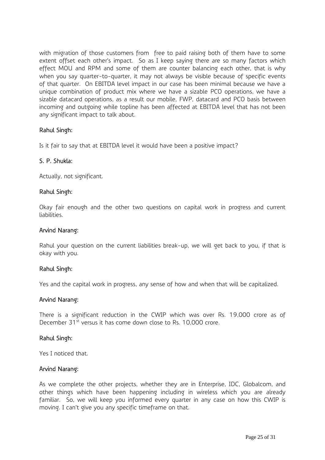with migration of those customers from free to paid raising both of them have to some extent offset each other's impact. So as I keep saying there are so many factors which effect MOU and RPM and some of them are counter balancing each other, that is why when you say quarter-to-quarter, it may not always be visible because of specific events of that quarter. On EBITDA level impact in our case has been minimal because we have a unique combination of product mix where we have a sizable PCO operations, we have a sizable datacard operations, as a result our mobile, FWP, datacard and PCO basis between incoming and outgoing while topline has been affected at EBITDA level that has not been any significant impact to talk about.

### Rahul Singh:

Is it fair to say that at EBITDA level it would have been a positive impact?

#### S. P. Shukla:

Actually, not significant.

#### Rahul Singh:

Okay fair enough and the other two questions on capital work in progress and current liabilities.

#### Arvind Narang:

Rahul your question on the current liabilities break-up, we will get back to you, if that is okay with you.

#### Rahul Singh:

Yes and the capital work in progress, any sense of how and when that will be capitalized.

#### Arvind Narang:

There is a significant reduction in the CWIP which was over Rs. 19,000 crore as of December 31<sup>st</sup> versus it has come down close to Rs. 10,000 crore.

#### Rahul Singh:

Yes I noticed that.

#### Arvind Narang:

As we complete the other projects, whether they are in Enterprise, IDC, Globalcom, and other things which have been happening including in wireless which you are already familiar. So, we will keep you informed every quarter in any case on how this CWIP is moving. I can't give you any specific timeframe on that.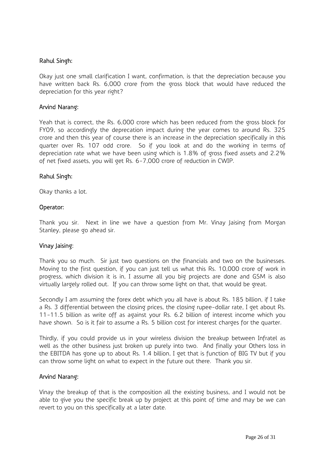### Rahul Singh:

Okay just one small clarification I want, confirmation, is that the depreciation because you have written back Rs. 6,000 crore from the gross block that would have reduced the depreciation for this year right?

#### Arvind Narang:

Yeah that is correct, the Rs. 6,000 crore which has been reduced from the gross block for FY09, so accordingly the deprecation impact during the year comes to around Rs. 325 crore and then this year of course there is an increase in the depreciation specifically in this quarter over Rs. 107 odd crore. So if you look at and do the working in terms of depreciation rate what we have been using which is 1.8% of gross fixed assets and 2.2% of net fixed assets, you will get Rs. 6-7,000 crore of reduction in CWIP.

#### Rahul Singh:

Okay thanks a lot.

### Operator:

Thank you sir. Next in line we have a question from Mr. Vinay Jaising from Morgan Stanley, please go ahead sir.

#### Vinay Jaising:

Thank you so much. Sir just two questions on the financials and two on the businesses. Moving to the first question, if you can just tell us what this Rs. 10,000 crore of work in progress, which division it is in, I assume all you big projects are done and GSM is also virtually largely rolled out. If you can throw some light on that, that would be great.

Secondly I am assuming the forex debt which you all have is about Rs. 185 billion, if I take a Rs. 3 differential between the closing prices, the closing rupee-dollar rate, I get about Rs. 11-11.5 billion as write off as against your Rs. 6.2 billion of interest income which you have shown. So is it fair to assume a Rs. 5 billion cost for interest charges for the quarter.

Thirdly, if you could provide us in your wireless division the breakup between Infratel as well as the other business just broken up purely into two. And finally your Others loss in the EBITDA has gone up to about Rs. 1.4 billion, I get that is function of BIG TV but if you can throw some light on what to expect in the future out there. Thank you sir.

#### Arvind Narang:

Vinay the breakup of that is the composition all the existing business, and I would not be able to give you the specific break up by project at this point of time and may be we can revert to you on this specifically at a later date.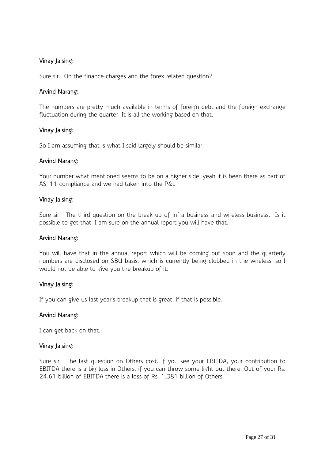### Vinay Jaising:

Sure sir. On the finance charges and the forex related question?

#### Arvind Narang:

The numbers are pretty much available in terms of foreign debt and the foreign exchange fluctuation during the quarter. It is all the working based on that.

#### Vinay Jaising:

So I am assuming that is what I said largely should be similar.

#### Arvind Narang:

Your number what mentioned seems to be on a higher side, yeah it is been there as part of AS-11 compliance and we had taken into the P&L.

#### Vinay Jaising:

Sure sir. The third question on the break up of infra business and wireless business. Is it possible to get that, I am sure on the annual report you will have that.

#### Arvind Narang:

You will have that in the annual report which will be coming out soon and the quarterly numbers are disclosed on SBU basis, which is currently being clubbed in the wireless, so I would not be able to give you the breakup of it.

#### Vinay Jaising:

If you can give us last year's breakup that is great, if that is possible.

#### Arvind Narang:

I can get back on that.

#### Vinay Jaising:

Sure sir. The last question on Others cost. If you see your EBITDA, your contribution to EBITDA there is a big loss in Others, if you can throw some light out there. Out of your Rs. 24.61 billion of EBITDA there is a loss of Rs. 1.381 billion of Others.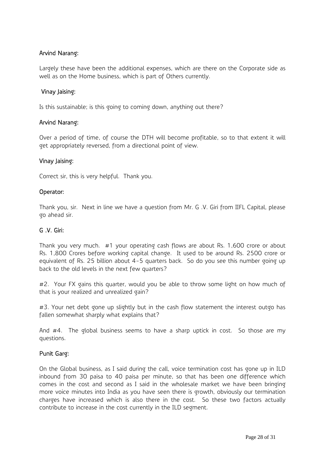# Arvind Narang:

Largely these have been the additional expenses, which are there on the Corporate side as well as on the Home business, which is part of Others currently.

#### Vinay Jaising:

Is this sustainable; is this going to coming down, anything out there?

#### Arvind Narang:

Over a period of time, of course the DTH will become profitable, so to that extent it will get appropriately reversed, from a directional point of view.

#### Vinay Jaising:

Correct sir, this is very helpful. Thank you.

#### Operator:

Thank you, sir. Next in line we have a question from Mr. G .V. Giri from IIFL Capital, please go ahead sir.

#### G .V. Giri:

Thank you very much. #1 your operating cash flows are about Rs. 1,600 crore or about Rs. 1,800 Crores before working capital change. It used to be around Rs. 2500 crore or equivalent of Rs. 25 billion about 4-5 quarters back. So do you see this number going up back to the old levels in the next few quarters?

#2. Your FX gains this quarter, would you be able to throw some light on how much of that is your realized and unrealized gain?

#3. Your net debt gone up slightly but in the cash flow statement the interest outgo has fallen somewhat sharply what explains that?

And #4. The global business seems to have a sharp uptick in cost. So those are my questions.

#### Punit Garg:

On the Global business, as I said during the call, voice termination cost has gone up in ILD inbound from 30 paisa to 40 paisa per minute, so that has been one difference which comes in the cost and second as I said in the wholesale market we have been bringing more voice minutes into India as you have seen there is growth, obviously our termination charges have increased which is also there in the cost. So these two factors actually contribute to increase in the cost currently in the ILD segment.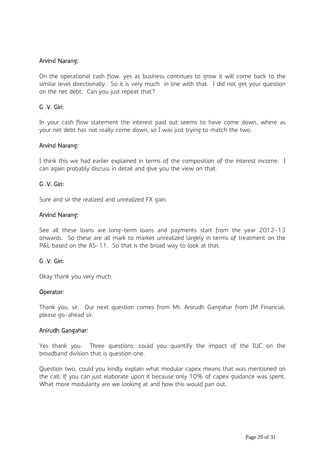### Arvind Narang:

On the operational cash flow, yes as business continues to grow it will come back to the similar level directionally. So it is very much in line with that. I did not get your question on the net debt. Can you just repeat that?

### G .V. Giri:

In your cash flow statement the interest paid out seems to have come down, where as your net debt has not really come down, so I was just trying to match the two.

#### Arvind Narang:

I think this we had earlier explained in terms of the composition of the interest income. I can again probably discuss in detail and give you the view on that.

### G .V. Giri:

Sure and sir the realized and unrealized FX gain.

#### Arvind Narang:

See all these loans are long-term loans and payments start from the year 2012-13 onwards. So these are all mark to market unrealized largely in terms of treatment on the P&L based on the AS-11. So that is the broad way to look at that.

#### G .V. Giri:

Okay thank you very much.

#### Operator:

Thank you, sir. Our next question comes from Mr. Anirudh Gangahar from JM Financial, please go-ahead sir.

#### Anirudh Gangahar:

Yes thank you. Three questions; could you quantify the impact of the IUC on the broadband division that is question one.

Question two, could you kindly explain what modular capex means that was mentioned on the call; if you can just elaborate upon it because only 10% of capex guidance was spent. What more modularity are we looking at and how this would pan out.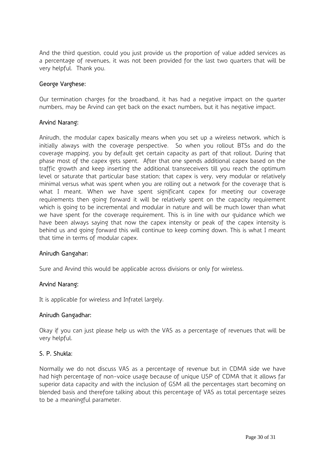And the third question, could you just provide us the proportion of value added services as a percentage of revenues, it was not been provided for the last two quarters that will be very helpful. Thank you.

#### George Varghese:

Our termination charges for the broadband, it has had a negative impact on the quarter numbers, may be Arvind can get back on the exact numbers, but it has negative impact.

#### Arvind Narang:

Anirudh, the modular capex basically means when you set up a wireless network, which is initially always with the coverage perspective. So when you rollout BTSs and do the coverage mapping, you by default get certain capacity as part of that rollout. During that phase most of the capex gets spent. After that one spends additional capex based on the traffic growth and keep inserting the additional transreceivers till you reach the optimum level or saturate that particular base station; that capex is very, very modular or relatively minimal versus what was spent when you are rolling out a network for the coverage that is what I meant. When we have spent significant capex for meeting our coverage requirements then going forward it will be relatively spent on the capacity requirement which is going to be incremental and modular in nature and will be much lower than what we have spent for the coverage requirement. This is in line with our guidance which we have been always saying that now the capex intensity or peak of the capex intensity is behind us and going forward this will continue to keep coming down. This is what I meant that time in terms of modular capex.

#### Anirudh Gangahar:

Sure and Arvind this would be applicable across divisions or only for wireless.

#### Arvind Narang:

It is applicable for wireless and Infratel largely.

#### Anirudh Gangadhar:

Okay if you can just please help us with the VAS as a percentage of revenues that will be very helpful.

# S. P. Shukla:

Normally we do not discuss VAS as a percentage of revenue but in CDMA side we have had high percentage of non-voice usage because of unique USP of CDMA that it allows far superior data capacity and with the inclusion of GSM all the percentages start becoming on blended basis and therefore talking about this percentage of VAS as total percentage seizes to be a meaningful parameter.